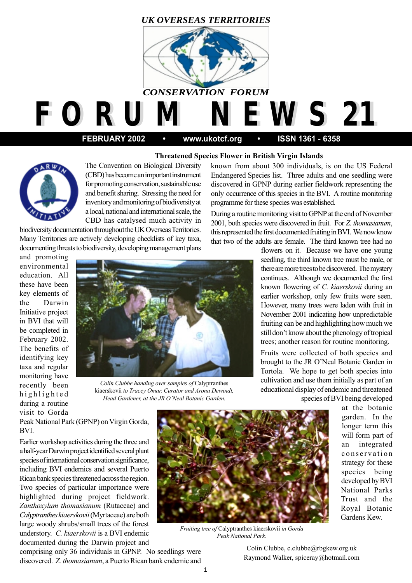## *UK OVERSEAS TERRITORIES*



*F O R U M N E W S 21 F O R U M N E W S 21*

 **FEBRUARY 2002 • www.ukotcf.org • ISSN 1361 - 6358**

## **Threatened Species Flower in British Virgin Islands**



The Convention on Biological Diversity (CBD) has become an important instrument for promoting conservation, sustainable use and benefit sharing. Stressing the need for inventory and monitoring of biodiversity at a local, national and international scale, the CBD has catalysed much activity in

biodiversity documentation throughout the UK Overseas Territories. Many Territories are actively developing checklists of key taxa, documenting threats to biodiversity, developing management plans

and promoting environmental education. All these have been key elements of the Darwin Initiative project in BVI that will be completed in February 2002. The benefits of identifying key taxa and regular monitoring have recently been highlighted during a routine visit to Gorda



*Colin Clubbe handing over samples of* Calyptranthes kiaerskovii *to Tracey Omar, Curator and Arona Dewindt, Head Gardener, at the JR O'Neal Botanic Garden.*

known from about 300 individuals, is on the US Federal Endangered Species list. Three adults and one seedling were discovered in GPNP during earlier fieldwork representing the only occurrence of this species in the BVI. A routine monitoring programme for these species was established.

During a routine monitoring visit to GPNP at the end of November 2001, both species were discovered in fruit. For *Z. thomasianum*, this represented the first documented fruiting in BVI. We now know that two of the adults are female. The third known tree had no

> flowers on it. Because we have one young seedling, the third known tree must be male, or there are more trees to be discovered. The mystery continues. Although we documented the first known flowering of *C. kiaerskovii* during an earlier workshop, only few fruits were seen. However, many trees were laden with fruit in November 2001 indicating how unpredictable fruiting can be and highlighting how much we still don't know about the phenology of tropical trees; another reason for routine monitoring.

> Fruits were collected of both species and brought to the JR O'Neal Botanic Garden in Tortola. We hope to get both species into cultivation and use them initially as part of an educational display of endemic and threatened

species of BVI being developed

at the botanic garden. In the longer term this will form part of an integrated conservation strategy for these species being developed by BVI National Parks Trust and the Royal Botanic Gardens Kew.

Peak National Park (GPNP) on Virgin Gorda, BVI.

Earlier workshop activities during the three and a half-year Darwin project identified several plant species of international conservation significance, including BVI endemics and several Puerto Rican bank species threatened across the region. Two species of particular importance were highlighted during project fieldwork. *Zanthoxylum thomasianum* (Rutaceae) and *Calyptranthes kiaerskovii* (Myrtaceae) are both large woody shrubs/small trees of the forest understory. *C. kiaerskovii* is a BVI endemic documented during the Darwin project and



*Fruiting tree of* Calyptranthes kiaerskovii *in Gorda Peak National Park.*

comprising only 36 individuals in GPNP. No seedlings were discovered. *Z. thomasianum*, a Puerto Rican bank endemic and

Colin Clubbe, c.clubbe@rbgkew.org.uk Raymond Walker, spiceray@hotmail.com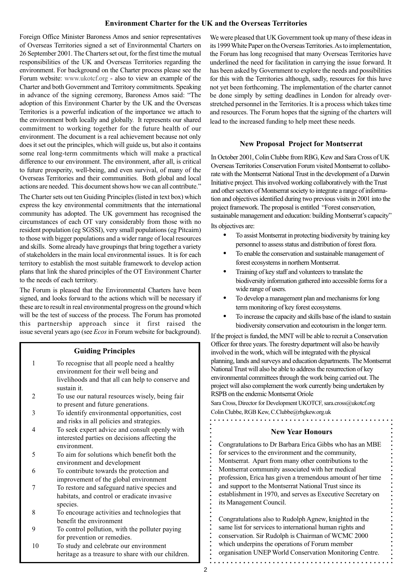## **Environment Charter for the UK and the Overseas Territories**

Foreign Office Minister Baroness Amos and senior representatives of Overseas Territories signed a set of Environmental Charters on 26 September 2001. The Charters set out, for the first time the mutual responsibilities of the UK and Overseas Territories regarding the environment. For background on the Charter process please see the Forum website: www.ukotcf.org - also to view an example of the Charter and both Government and Territory commitments. Speaking in advance of the signing ceremony, Baroness Amos said: "The adoption of this Environment Charter by the UK and the Overseas Territories is a powerful indication of the importance we attach to the environment both locally and globally. It represents our shared commitment to working together for the future health of our environment. The document is a real achievement because not only does it set out the principles, which will guide us, but also it contains some real long-term commitments which will make a practical difference to our environment. The environment, after all, is critical to future prosperity, well-being, and even survival, of many of the Overseas Territories and their communities. Both global and local actions are needed. This document shows how we can all contribute."

The Charter sets out ten Guiding Principles (listed in text box) which express the key environmental commitments that the international community has adopted. The UK government has recognised the circumstances of each OT vary considerably from those with no resident population (eg SGSSI), very small populations (eg Pitcairn) to those with bigger populations and a wider range of local resources and skills. Some already have groupings that bring together a variety of stakeholders in the main local environmental issues. It is for each territory to establish the most suitable framework to develop action plans that link the shared principles of the OT Environment Charter to the needs of each territory.

The Forum is pleased that the Environmental Charters have been signed, and looks forward to the actions which will be necessary if these are to result in real environmental progress on the ground which will be the test of success of the process. The Forum has promoted this partnership approach since it first raised the issue several years ago (see *Ecos* in Forum website for background).

#### **Guiding Principles**

- 1 To recognise that all people need a healthy environment for their well being and livelihoods and that all can help to conserve and sustain it.
- 2 To use our natural resources wisely, being fair to present and future generations.
- 3 To identify environmental opportunities, cost and risks in all policies and strategies.
- 4 To seek expert advice and consult openly with interested parties on decisions affecting the environment.
- 5 To aim for solutions which benefit both the environment and development
- 6 To contribute towards the protection and improvement of the global environment
- 7 To restore and safeguard native species and habitats, and control or eradicate invasive species.
- 8 To encourage activities and technologies that benefit the environment
- 9 To control pollution, with the polluter paying for prevention or remedies.
- 10 To study and celebrate our environment heritage as a treasure to share with our children.

We were pleased that UK Government took up many of these ideas in its 1999 White Paper on the Overseas Territories. As to implementation, the Forum has long recognised that many Overseas Territories have underlined the need for facilitation in carrying the issue forward. It has been asked by Government to explore the needs and possibilities for this with the Territories although, sadly, resources for this have not yet been forthcoming. The implementation of the charter cannot be done simply by setting deadlines in London for already overstretched personnel in the Territories. It is a process which takes time and resources. The Forum hopes that the signing of the charters will lead to the increased funding to help meet these needs.

#### **New Proposal Project for Montserrat**

In October 2001, Colin Clubbe from RBG, Kew and Sara Cross of UK Overseas Territories Conservation Forum visited Montserrat to collaborate with the Montserrat National Trust in the development of a Darwin Initiative project. This involved working collaboratively with the Trust and other sectors of Montserrat society to integrate a range of information and objectives identified during two previous visits in 2001 into the project framework. The proposal is entitled "Forest conservation, sustainable management and education: building Montserrat's capacity"

Its objectives are:

- **•** To assist Montserrat in protecting biodiversity by training key personnel to assess status and distribution of forest flora.
- **•** To enable the conservation and sustainable management of forest ecosystems in northern Montserrat.
- **•** Training of key staff and volunteers to translate the biodiversity information gathered into accessible forms for a wide range of users.
- **•** To develop a management plan and mechanisms for long term monitoring of key forest ecosystems.
- **•** To increase the capacity and skills base of the island to sustain biodiversity conservation and ecotourism in the longer term.

If the project is funded, the MNT will be able to recruit a Conservation Officer for three years. The forestry department will also be heavily involved in the work, which will be integrated with the physical planning, lands and surveys and education departments. The Montserrat National Trust will also be able to address the resurrection of key environmental committees through the work being carried out. The project will also complement the work currently being undertaken by RSPB on the endemic Montserrat Oriole

Sara Cross, Director for Development UKOTCF, sara.cross@ukotcf.org Colin Clubbe, RGB Kew, C.Clubbe@rbgkew.org.uk

#### **New Year Honours**

Congratulations to Dr Barbara Erica Gibbs who has an MBE for services to the environment and the community, Montserrat. Apart from many other contributions to the Montserrat community associated with her medical profession, Erica has given a tremendous amount of her time and support to the Montserrat National Trust since its establishment in 1970, and serves as Executive Secretary on its Management Council.

Congratulations also to Rudolph Agnew, knighted in the same list for services to international human rights and conservation. Sir Rudolph is Chairman of WCMC 2000 which underpins the operations of Forum member organisation UNEP World Conservation Monitoring Centre.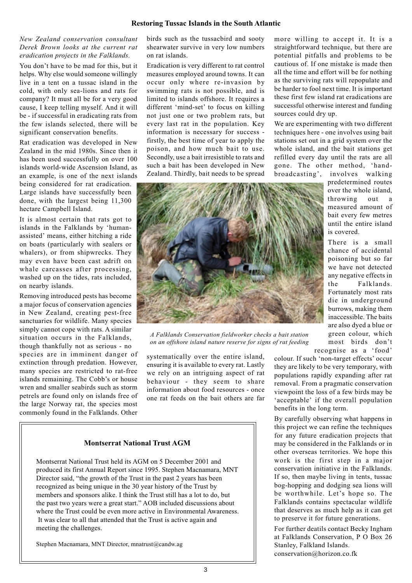#### *New Zealand conservation consultant Derek Brown looks at the current rat eradication projects in the Falklands.*

You don't have to be mad for this, but it helps. Why else would someone willingly live in a tent on a tussac island in the cold, with only sea-lions and rats for company? It must all be for a very good cause, I keep telling myself. And it will be - if successful in eradicating rats from the few islands selected, there will be significant conservation benefits.

Rat eradication was developed in New Zealand in the mid 1980s. Since then it has been used successfully on over 100 islands world-wide Ascension Island, as an example, is one of the next islands being considered for rat eradication. Large islands have successfully been done, with the largest being 11,300 hectare Campbell Island.

It is almost certain that rats got to islands in the Falklands by 'humanassisted' means, either hitching a ride on boats (particularly with sealers or whalers), or from shipwrecks. They may even have been cast adrift on whale carcasses after processing, washed up on the tides, rats included, on nearby islands.

Removing introduced pests has become a major focus of conservation agencies in New Zealand, creating pest-free sanctuaries for wildlife. Many species simply cannot cope with rats. A similar situation occurs in the Falklands, though thankfully not as serious - no species are in imminent danger of extinction through predation. However, many species are restricted to rat-free islands remaining. The Cobb's or house wren and smaller seabirds such as storm petrels are found only on islands free of the large Norway rat, the species most commonly found in the Falklands. Other birds such as the tussacbird and sooty shearwater survive in very low numbers on rat islands.

Eradication is very different to rat control measures employed around towns. It can occur only where re-invasion by swimming rats is not possible, and is limited to islands offshore. It requires a different 'mind-set' to focus on killing not just one or two problem rats, but every last rat in the population. Key information is necessary for success firstly, the best time of year to apply the poison, and how much bait to use. Secondly, use a bait irresistible to rats and such a bait has been developed in New Zealand. Thirdly, bait needs to be spread

more willing to accept it. It is a straightforward technique, but there are potential pitfalls and problems to be cautious of. If one mistake is made then all the time and effort will be for nothing as the surviving rats will repopulate and be harder to fool next time. It is important these first few island rat eradications are successful otherwise interest and funding sources could dry up.

We are experimenting with two different techniques here - one involves using bait stations set out in a grid system over the whole island, and the bait stations get refilled every day until the rats are all gone. The other method, 'handbroadcasting', involves walking

> predetermined routes over the whole island, throwing out a measured amount of bait every few metres until the entire island

There is a small chance of accidental poisoning but so far we have not detected any negative effects in the Falklands. Fortunately most rats die in underground burrows, making them inaccessible. The baits are also dyed a blue or green colour, which most birds don't

is covered.



*A Falklands Conservation fieldworker checks a bait station on an offshore island nature reserve for signs of rat feeding*

systematically over the entire island, ensuring it is available to every rat. Lastly we rely on an intriguing aspect of rat behaviour - they seem to share information about food resources - once one rat feeds on the bait others are far

## **Montserrat National Trust AGM**

Montserrat National Trust held its AGM on 5 December 2001 and produced its first Annual Report since 1995. Stephen Macnamara, MNT Director said, "the growth of the Trust in the past 2 years has been recognized as being unique in the 30 year history of the Trust by members and sponsors alike. I think the Trust still has a lot to do, but the past two years were a great start." AOB included discussions about where the Trust could be even more active in Environmental Awareness. It was clear to all that attended that the Trust is active again and meeting the challenges.

Stephen Macnamara, MNT Director, mnatrust@candw.ag

recognise as a 'food' colour. If such 'non-target effects' occur they are likely to be very temporary, with populations rapidly expanding after rat removal. From a pragmatic conservation viewpoint the loss of a few birds may be 'acceptable' if the overall population benefits in the long term.

By carefully observing what happens in this project we can refine the techniques for any future eradication projects that may be considered in the Falklands or in other overseas territories. We hope this work is the first step in a major conservation initiative in the Falklands. If so, then maybe living in tents, tussac bog-hopping and dodging sea lions will be worthwhile. Let's hope so. The Falklands contains spectacular wildlife that deserves as much help as it can get to preserve it for future generations.

For further deatils contact Becky Ingham at Falklands Conservation, P O Box 26 Stanley, Falkland Islands. conservation@horizon.co.fk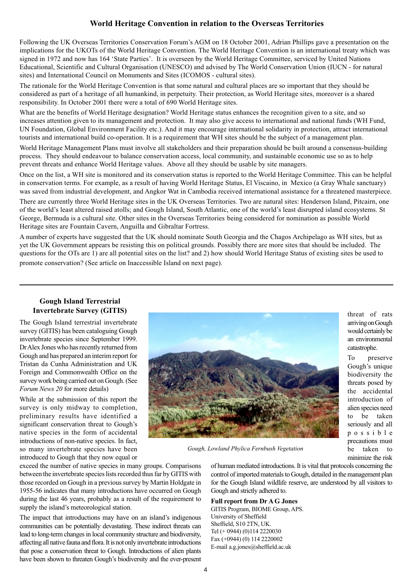## **World Heritage Convention in relation to the Overseas Territories**

Following the UK Overseas Territories Conservation Forum's AGM on 18 October 2001, Adrian Phillips gave a presentation on the implications for the UKOTs of the World Heritage Convention. The World Heritage Convention is an international treaty which was signed in 1972 and now has 164 'State Parties'. It is overseen by the World Heritage Committee, serviced by United Nations Educational, Scientific and Cultural Organisation (UNESCO) and advised by The World Conservation Union (IUCN - for natural sites) and International Council on Monuments and Sites (ICOMOS - cultural sites).

The rationale for the World Heritage Convention is that some natural and cultural places are so important that they should be considered as part of a heritage of all humankind, in perpetuity. Their protection, as World Heritage sites, moreover is a shared responsibility. In October 2001 there were a total of 690 World Heritage sites.

What are the benefits of World Heritage designation? World Heritage status enhances the recognition given to a site, and so increases attention given to its management and protection. It may also give access to international and national funds (WH Fund, UN Foundation, Global Environment Facility etc.). And it may encourage international solidarity in protection, attract international tourists and international build co-operation. It is a requirement that WH sites should be the subject of a management plan.

World Heritage Management Plans must involve all stakeholders and their preparation should be built around a consensus-building process. They should endeavour to balance conservation access, local community, and sustainable economic use so as to help prevent threats and enhance World Heritage values. Above all they should be usable by site managers.

Once on the list, a WH site is monitored and its conservation status is reported to the World Heritage Committee. This can be helpful in conservation terms. For example, as a result of having World Heritage Status, El Viscaino, in Mexico (a Gray Whale sanctuary) was saved from industrial development, and Angkor Wat in Cambodia received international assistance for a threatened masterpiece.

There are currently three World Heritage sites in the UK Overseas Territories. Two are natural sites: Henderson Island, Pitcairn, one of the world's least altered raised atolls; and Gough Island, South Atlantic, one of the world's least disrupted island ecosystems. St George, Bermuda is a cultural site. Other sites in the Overseas Territories being considered for nomination as possible World Heritage sites are Fountain Cavern, Anguilla and Gibraltar Fortress.

A number of experts have suggested that the UK should nominate South Georgia and the Chagos Archipelago as WH sites, but as yet the UK Government appears be resisting this on political grounds. Possibly there are more sites that should be included. The questions for the OTs are 1) are all potential sites on the list? and 2) how should World Heritage Status of existing sites be used to promote conservation? (See article on Inaccessible Island on next page).

# **Gough Island Terrestrial**

The Gough Island terrestrial invertebrate survey (GITIS) has been cataloguing Gough invertebrate species since September 1999. Dr Alex Jones who has recently returned from Gough and has prepared an interim report for Tristan da Cunha Administration and UK Foreign and Commonwealth Office on the survey work being carried out on Gough. (See *Forum News 20* for more details)

While at the submission of this report the survey is only midway to completion, preliminary results have identified a significant conservation threat to Gough's native species in the form of accidental introductions of non-native species. In fact, so many invertebrate species have been introduced to Gough that they now equal or

exceed the number of native species in many groups. Comparisons between the invertebrate species lists recorded thus far by GITIS with those recorded on Gough in a previous survey by Martin Holdgate in 1955-56 indicates that many introductions have occurred on Gough during the last 46 years, probably as a result of the requirement to supply the island's meteorological station.

The impact that introductions may have on an island's indigenous communities can be potentially devastating. These indirect threats can lead to long-term changes in local community structure and biodiversity, affecting all native fauna and flora. It is not only invertebrate introductions that pose a conservation threat to Gough. Introductions of alien plants have been shown to threaten Gough's biodiversity and the ever-present



*Gough, Lowland Phylica Fernbush Vegetation*

of human mediated introductions. It is vital that protocols concerning the control of imported materials to Gough, detailed in the management plan for the Gough Island wildlife reserve, are understood by all visitors to Gough and strictly adhered to.

#### **Full report from Dr A G Jones**

GITIS Program, BIOME Group, APS. University of Sheffield Sheffield, S10 2TN, UK. Tel (+ 0944) (0)114 2220030 Fax (+0944) (0) 114 2220002 E-mail a.g.jones@sheffield.ac.uk

arriving on Gough would certainly be an environmental catastrophe.

To preserve Gough's unique biodiversity the threats posed by the accidental introduction of alien species need to be taken seriously and all possible precautions must be taken to minimize the risk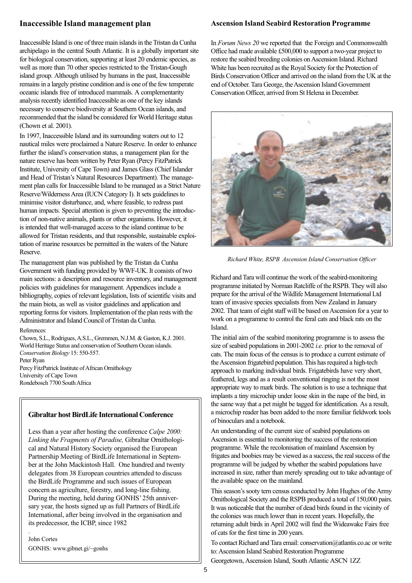## **Inaccessible Island management plan**

Inaccessible Island is one of three main islands in the Tristan da Cunha archipelago in the central South Atlantic. It is a globally important site for biological conservation, supporting at least 20 endemic species, as well as more than 70 other species restricted to the Tristan-Gough island group. Although utilised by humans in the past, Inaccessible remains in a largely pristine condition and is one of the few temperate oceanic islands free of introduced mammals. A complementarity analysis recently identified Inaccessible as one of the key islands necessary to conserve biodiversity at Southern Ocean islands, and recommended that the island be considered for World Heritage status (Chown et al. 2001).

In 1997, Inaccessible Island and its surrounding waters out to 12 nautical miles were proclaimed a Nature Reserve. In order to enhance further the island's conservation status, a management plan for the nature reserve has been written by Peter Ryan (Percy FitzPatrick Institute, University of Cape Town) and James Glass (Chief Islander and Head of Tristan's Natural Resources Department). The management plan calls for Inaccessible Island to be managed as a Strict Nature Reserve/Wilderness Area (IUCN Category I). It sets guidelines to minimise visitor disturbance, and, where feasible, to redress past human impacts. Special attention is given to preventing the introduction of non-native animals, plants or other organisms. However, it is intended that well-managed access to the island continue to be allowed for Tristan residents, and that responsible, sustainable exploitation of marine resources be permitted in the waters of the Nature Reserve.

The management plan was published by the Tristan da Cunha Government with funding provided by WWF-UK. It consists of two main sections: a description and resource inventory, and management policies with guidelines for management. Appendices include a bibliography, copies of relevant legislation, lists of scientific visits and the main biota, as well as visitor guidelines and application and reporting forms for visitors. Implementation of the plan rests with the Administrator and Island Council of Tristan da Cunha.

#### References:

Chown, S.L., Rodrigues, A.S.L., Gremmen, N.J.M. & Gaston, K.J. 2001. World Heritage Status and conservation of Southern Ocean islands. *Conservation Biology* 15: 550-557. Peter Ryan Percy FitzPatrick Institute of African Ornithology University of Cape Town Rondebosch 7700 South Africa

## **Gibraltar host BirdLife International Conference**

Less than a year after hosting the conference *Calpe 2000: Linking the Fragments of Paradise,* Gibraltar Ornithological and Natural History Society organised the European Partnership Meeting of BirdLife International in September at the John Mackintosh Hall. One hundred and twenty delegates from 38 European countries attended to discuss the BirdLife Programme and such issues of European concern as agriculture, forestry, and long-line fishing. During the meeting, held during GONHS' 25th anniversary year, the hosts signed up as full Partners of BirdLife International, after being involved in the organisation and its predecessor, the ICBP, since 1982

John Cortes GONHS: www.gibnet.gi/~gonhs

.

## **Ascension Island Seabird Restoration Programme**

In *Forum News 20* we reported that the Foreign and Commonwealth Office had made available £500,000 to support a two-year project to restore the seabird breeding colonies on Ascension Island. Richard White has been recruited as the Royal Society for the Protection of Birds Conservation Officer and arrived on the island from the UK at the end of October. Tara George, the Ascension Island Government Conservation Officer, arrived from St Helena in December.



*Richard White, RSPB Ascension Island Conservation Officer*

Richard and Tara will continue the work of the seabird-monitoring programme initiated by Norman Ratcliffe of the RSPB. They will also prepare for the arrival of the Wildlife Management International Ltd team of invasive species specialists from New Zealand in January 2002. That team of eight staff will be based on Ascension for a year to work on a programme to control the feral cats and black rats on the Island.

The initial aim of the seabird monitoring programme is to assess the size of seabird populations in 2001-2002 *i.e*. prior to the removal of cats. The main focus of the census is to produce a current estimate of the Ascension frigatebird population. This has required a high-tech approach to marking individual birds. Frigatebirds have very short, feathered, legs and as a result conventional ringing is not the most appropriate way to mark birds. The solution is to use a technique that implants a tiny microchip under loose skin in the nape of the bird, in the same way that a pet might be tagged for identification. As a result, a microchip reader has been added to the more familiar fieldwork tools of binoculars and a notebook.

An understanding of the current size of seabird populations on Ascension is essential to monitoring the success of the restoration programme. While the recolonisation of mainland Ascension by frigates and boobies may be viewed as a success, the real success of the programme will be judged by whether the seabird populations have increased in size, rather than merely spreading out to take advantage of the available space on the mainland.

This season's sooty tern census conducted by John Hughes of the Army Ornithological Society and the RSPB produced a total of 150,000 pairs. It was noticeable that the number of dead birds found in the vicinity of the colonies was much lower than in recent years. Hopefully, the returning adult birds in April 2002 will find the Wideawake Fairs free of cats for the first time in 200 years.

To contact Richard and Tara email: conservation@atlantis.co.ac or write to: Ascension Island Seabird Restoration Programme

Georgetown, Ascension Island, South Atlantic ASCN 1ZZ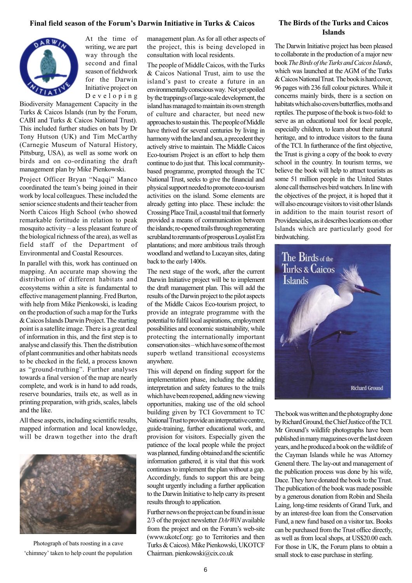#### **Final field season of the Forum's Darwin Initiative in Turks & Caicos**



At the time of writing, we are part way through the second and final season of fieldwork for the Darwin Initiative project on Developing

Biodiversity Management Capacity in the Turks & Caicos Islands (run by the Forum, CABI and Turks & Caicos National Trust). This included further studies on bats by Dr Tony Hutson (UK) and Tim McCarthy (Carnegie Museum of Natural History, Pittsburg, USA), as well as some work on birds and on co-ordinating the draft management plan by Mike Pienkowski.

Project Officer Bryan "Naqqi" Manco coordinated the team's being joined in their work by local colleagues. These included the senior science students and their teacher from North Caicos High School (who showed remarkable fortitude in relation to peak mosquito activity – a less pleasant feature of the biological richness of the area), as well as field staff of the Department of Environmental and Coastal Resources.

In parallel with this, work has continued on mapping. An accurate map showing the distribution of different habitats and ecosystems within a site is fundamental to effective management planning. Fred Burton, with help from Mike Pienkowski, is leading on the production of such a map for the Turks & Caicos Islands Darwin Project. The starting point is a satellite image. There is a great deal of information in this, and the first step is to analyse and classify this. Then the distribution of plant communities and other habitats needs to be checked in the field, a process known as "ground-truthing". Further analyses towards a final version of the map are nearly complete, and work is in hand to add roads, reserve boundaries, trails etc, as well as in printing preparation, with grids, scales, labels and the like.

All these aspects, including scientific results, mapped information and local knowledge, will be drawn together into the draft



Photograph of bats roosting in a cave 'chimney' taken to help count the population management plan. As for all other aspects of the project, this is being developed in consultation with local residents.

The people of Middle Caicos, with the Turks & Caicos National Trust, aim to use the island's past to create a future in an environmentally conscious way. Not yet spoiled by the trappings of large-scale development, the island has managed to maintain its own strength of culture and character, but need new approaches to sustain this. The people of Middle have thrived for several centuries by living in harmony with the land and sea, a precedent they actively strive to maintain. The Middle Caicos Eco-tourism Project is an effort to help them continue to do just that. This local communitybased programme, prompted through the TC National Trust, seeks to give the financial and physical support needed to promote eco-tourism activities on the island. Some elements are already getting into place. These include: the Crossing Place Trail, a coastal trail that formerly provided a means of communication between the islands; re-opened trails through regenerating scrubland to remnants of prosperous Loyalist Era plantations; and more ambitious trails through woodland and wetland to Lucayan sites, dating back to the early 1400s.

The next stage of the work, after the current Darwin Initiative project will be to implement the draft management plan. This will add the results of the Darwin project to the pilot aspects of the Middle Caicos Eco-tourism project, to provide an integrate programme with the potential to fulfil local aspirations, employment possibilities and economic sustainability, while protecting the internationally important conservation sites – which have some of the most superb wetland transitional ecosystems anywhere.

This will depend on finding support for the implementation phase, including the adding interpretation and safety features to the trails which have been reopened, adding new viewing opportunities, making use of the old school building given by TCI Government to TC National Trust to provide an interpretative centre, guide-training, further educational work, and provision for visitors. Especially given the patience of the local people while the project was planned, funding obtained and the scientific information gathered, it is vital that this work continues to implement the plan without a gap. Accordingly, funds to support this are being sought urgently including a further application to the Darwin Initiative to help carry its present results through to application.

Further news on the project can be found in issue 2/3 of the project newsletter *DArWiN* available from the project and on the Forum's web-site (www.ukotcf.org: go to Territories and then Turks & Caicos). Mike Pienkowski, UKOTCF Chairman. pienkowski@cix.co.uk

## **The Birds of the Turks and Caicos Islands**

The Darwin Initiative project has been pleased to collaborate in the production of a major new book *The Birds of the Turks and Caicos Islands*, which was launched at the AGM of the Turks & Caicos National Trust*.* The book is hard cover, 96 pages with 236 full colour pictures. While it concerns mainly birds, there is a section on habitats which also covers butterflies, moths and reptiles. The purpose of the book is two-fold: to serve as an educational tool for local people, especially children, to learn about their natural heritage, and to introduce visitors to the fauna of the TCI. In furtherance of the first objective, the Trust is giving a copy of the book to every school in the country. In tourism terms, we believe the book will help to attract tourists as some 51 million people in the United States alone call themselves bird watchers. In line with the objectives of the project, it is hoped that it will also encourage visitors to visit other Islands in addition to the main tourist resort of Providenciales, as it describes locations on other Islands which are particularly good for birdwatching.



The book was written and the photography done by Richard Ground, the Chief Justice of the TCI. Mr Ground's wildlife photographs have been published in many magazines over the last dozen years, and he produced a book on the wildlife of the Cayman Islands while he was Attorney General there. The lay-out and management of the publication process was done by his wife, Dace. They have donated the book to the Trust. The publication of the book was made possible by a generous donation from Robin and Sheila Laing, long-time residents of Grand Turk, and by an interest-free loan from the Conservation Fund, a new fund based on a visitor tax. Books can be purchased from the Trust office directly, as well as from local shops, at US\$20.00 each. For those in UK, the Forum plans to obtain a small stock to ease purchase in sterling.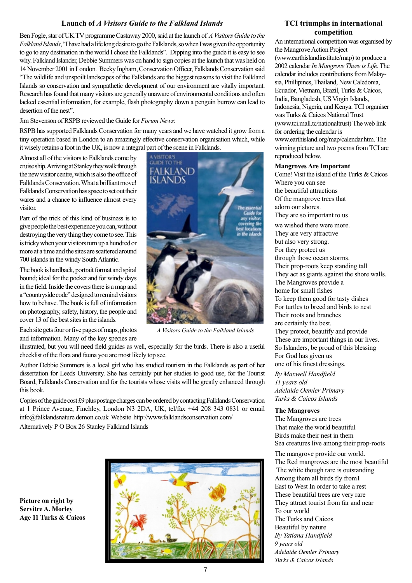## **Launch of** *A Visitors Guide to the Falkland Islands*

Ben Fogle, star of UK TV programme Castaway 2000, said at the launch of *A Visitors Guide to the Falkland Islands*, "I have had a life long desire to go the Falklands, so when I was given the opportunity to go to any destination in the world I chose the Falklands". Dipping into the guide it is easy to see why. Falkland Islander, Debbie Summers was on hand to sign copies at the launch that was held on 14 November 2001 in London. Becky Ingham, Conservation Officer, Falklands Conservation said "The wildlife and unspoilt landscapes of the Falklands are the biggest reasons to visit the Falkland Islands so conservation and sympathetic development of our environment are vitally important. Research has found that many visitors are generally unaware of environmental conditions and often lacked essential information, for example, flash photography down a penguin burrow can lead to desertion of the nest".

#### Jim Stevenson of RSPB reviewed the Guide for *Forum News*:

RSPB has supported Falklands Conservation for many years and we have watched it grow from a tiny operation based in London to an amazingly effective conservation organisation which, while it wisely retains a foot in the UK, is now a integral part of the scene in Falklands.

Almost all of the visitors to Falklands come by cruise ship. Arriving at Stanley they walk through the new visitor centre, which is also the office of Falklands Conservation. What a brilliant move! Falklands Conservation has space to set out their wares and a chance to influence almost every visitor.

Part of the trick of this kind of business is to give people the best experience you can, without destroying the very thing they come to see. This is tricky when your visitors turn up a hundred or more at a time and the sites are scattered around 700 islands in the windy South Atlantic.

The book is hardback, portrait format and spiral bound; ideal for the pocket and for windy days in the field. Inside the covers there is a map and a "countryside code" designed to remind visitors how to behave. The book is full of information on photography, safety, history, the people and cover 13 of the best sites in the islands.

Each site gets four or five pages of maps, photos and information. Many of the key species are

illustrated, but you will need field guides as well, especially for the birds. There is also a useful checklist of the flora and fauna you are most likely top see.

Author Debbie Summers is a local girl who has studied tourism in the Falklands as part of her dissertation for Leeds University. She has certainly put her studies to good use, for the Tourist Board, Falklands Conservation and for the tourists whose visits will be greatly enhanced through this book.

Copies of the guide cost £9 plus postage charges can be ordered by contacting Falklands Conservation at 1 Prince Avenue, Finchley, London N3 2DA, UK, tel/fax +44 208 343 0831 or email info@falklandsnature.demon.co.uk Website http://www.falklandsconservation.com/

Alternatively P O Box 26 Stanley Falkland Islands







*A Visitors Guide to the Falkland Islands*

#### **TCI triumphs in international competition**

An international competition was organised by the Mangrove Action Project (www.earthislandinstitute/map) to produce a 2002 calendar *In Mangrove There is Life*. The calendar includes contributions from Malaysia, Phillipines, Thailand, New Caledonia, Ecuador, Vietnam, Brazil, Turks & Caicos, India, Bangladesh, US Virgin Islands, Indonesia, Nigeria, and Kenya. TCI organiser was Turks & Caicos National Trust (www.tci.mall.tc/nationaltrust) The web link for ordering the calendar is www.earthisland.org/map/calendar.htm. The winning picture and two poems from TCI are reproduced below.

#### **Mangroves Are Important**

Come! Visit the island of the Turks & Caicos Where you can see the beautiful attractions Of the mangrove trees that adorn our shores. They are so important to us we wished there were more. They are very attractive but also very strong. For they protect us through those ocean storms. Their prop-roots keep standing tall They act as giants against the shore walls. The Mangroves provide a home for small fishes To keep them good for tasty dishes For turtles to breed and birds to nest Their roots and branches are certainly the best. They protect, beautify and provide These are important things in our lives. So Islanders, be proud of this blessing For God has given us one of his finest dressings.

*By Maxwell Handfield 11 years old Adelaide Oemler Primary Turks & Caicos Islands*

#### **The Mangroves**

The Mangroves are trees That make the world beautiful Birds make their nest in them Sea creatures live among their prop-roots

The mangrove provide our world. The Red mangroves are the most beautiful The white though rare is outstanding Among them all birds fly from1 East to West In order to take a rest These beautiful trees are very rare They attract tourist from far and near To our world The Turks and Caicos. Beautiful by nature *By Tatiana Handfield 9 years old Adelaide Oemler Primary Turks & Caicos Islands*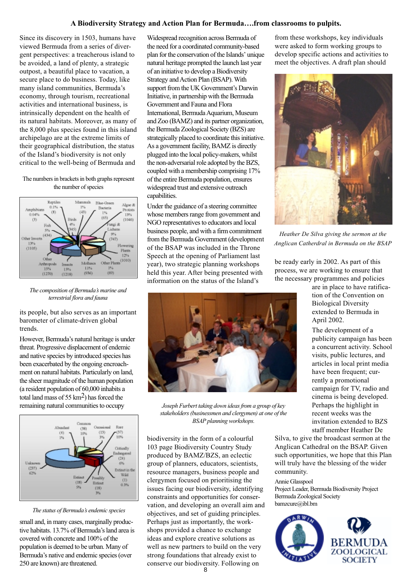## **A Biodiversity Strategy and Action Plan for Bermuda….from classrooms to pulpits.**

Since its discovery in 1503, humans have viewed Bermuda from a series of divergent perspectives: a treacherous island to be avoided, a land of plenty, a strategic outpost, a beautiful place to vacation, a secure place to do business. Today, like many island communities, Bermuda's economy, through tourism, recreational activities and international business, is intrinsically dependent on the health of its natural habitats. Moreover, as many of the 8,000 plus species found in this island archipelago are at the extreme limits of their geographical distribution, the status of the Island's biodiversity is not only critical to the well-being of Bermuda and

The numbers in brackets in both graphs represent the number of species



*The composition of Bermuda's marine and terrestrial flora and fauna*

its people, but also serves as an important barometer of climate-driven global trends.

However, Bermuda's natural heritage is under threat. Progressive displacement of endemic and native species by introduced species has been exacerbated by the ongoing encroachment on natural habitats. Particularly on land, the sheer magnitude of the human population (a resident population of 60,000 inhabits a total land mass of 55 km2) has forced the remaining natural communities to occupy



#### *The status of Bermuda's endemic species*

small and, in many cases, marginally productive habitats. 13.7% of Bermuda's land area is covered with concrete and 100% of the population is deemed to be urban. Many of Bermuda's native and endemic species (over 250 are known) are threatened.

Widespread recognition across Bermuda of the need for a coordinated community-based plan for the conservation of the Islands' unique natural heritage prompted the launch last year of an initiative to develop a Biodiversity Strategy and Action Plan (BSAP). With support from the UK Government's Darwin Initiative, in partnership with the Bermuda Government and Fauna and Flora International, Bermuda Aquarium, Museum and Zoo (BAMZ) and its partner organization, the Bermuda Zoological Society (BZS) are strategically placed to coordinate this initiative. As a government facility, BAMZ is directly plugged into the local policy-makers, whilst the non-adversarial role adopted by the BZS, coupled with a membership comprising 17% of the entire Bermuda population, ensures widespread trust and extensive outreach capabilities.

Under the guidance of a steering committee whose members range from government and NGO representatives to educators and local business people, and with a firm commitment from the Bermuda Government (development of the BSAP was included in the Throne Speech at the opening of Parliament last year), two strategic planning workshops held this year. After being presented with information on the status of the Island's



*Joseph Furbert taking down ideas from a group of key stakeholders (businessmen and clergymen) at one of the BSAP planning workshops.*

biodiversity in the form of a colourful 103 page Biodiversity Country Study produced by BAMZ/BZS, an eclectic group of planners, educators, scientists, resource managers, business people and clergymen focused on prioritising the issues facing our biodiversity, identifying constraints and opportunities for conservation, and developing an overall aim and objectives, and set of guiding principles. Perhaps just as importantly, the workshops provided a chance to exchange ideas and explore creative solutions as well as new partners to build on the very strong foundations that already exist to conserve our biodiversity. Following on

from these workshops, key individuals were asked to form working groups to develop specific actions and activities to meet the objectives. A draft plan should



*Heather De Silva giving the sermon at the Anglican Catherdral in Bermuda on the BSAP*

be ready early in 2002. As part of this process, we are working to ensure that the necessary programmes and policies

> are in place to have ratification of the Convention on Biological Diversity extended to Bermuda in April 2002.

The development of a publicity campaign has been a concurrent activity. School visits, public lectures, and articles in local print media have been frequent; currently a promotional campaign for TV, radio and cinema is being developed. Perhaps the highlight in recent weeks was the invitation extended to BZS staff member Heather De

Silva, to give the broadcast sermon at the Anglican Cathedral on the BSAP. Given such opportunities, we hope that this Plan will truly have the blessing of the wider community.

#### Annie Glasspool

Project Leader, Bermuda Biodiversity Project Bermuda Zoological Society bamzcure@ibl.bm

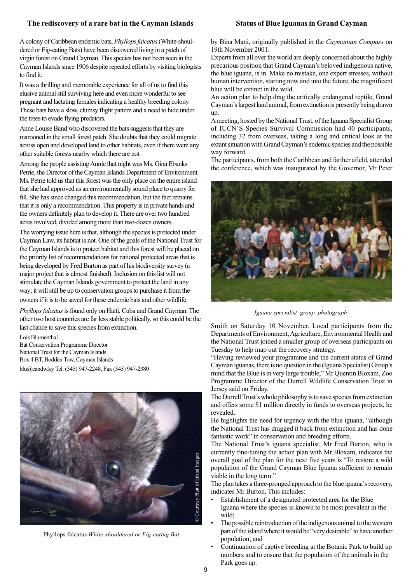## **The rediscovery of a rare bat in the Cayman Islands**

#### **Status of Blue Iguanas in Grand Cayman**

A colony of Caribbean endemic bats, *Phyllops falcatus* (White-shouldered or Fig-eating Bats) have been discovered living in a patch of virgin forest on Grand Cayman. This species has not been seen in the Cayman Islands since 1906 despite repeated efforts by visiting biologists to find it.

It was a thrilling and memorable experience for all of us to find this elusive animal still surviving here and even more wonderful to see pregnant and lactating females indicating a healthy breeding colony. These bats have a slow, clumsy flight pattern and a need to hide under the trees to evade flying predators.

Anne Louise Band who discovered the bats suggests that they are marooned in the small forest patch. She doubts that they could migrate across open and developed land to other habitats, even if there were any other suitable forests nearby which there are not.

Among the people assisting Annie that night was Ms. Gina Ebanks Petrie, the Director of the Cayman Islands Department of Environment. Ms. Petrie told us that this forest was the only place on the entire island that she had approved as an environmentally sound place to quarry for fill. She has since changed this recommendation, but the fact remains that it is only a recommendation. This property is in private hands and the owners definitely plan to develop it. There are over two hundred acres involved, divided among more than two-dozen owners.

The worrying issue here is that, although the species is protected under Cayman Law, its habitat is not. One of the goals of the National Trust for the Cayman Islands is to protect habitat and this forest will be placed on the priority list of recommendations for national protected areas that is being developed by Fred Burton as part of his biodiversity survey (a major project that is almost finished). Inclusion on this list will not stimulate the Cayman Islands government to protect the land in any way; it will still be up to conservation groups to purchase it from the owners if it is to be saved for these endemic bats and other wildlife.

*Phyllops falcatus* is found only on Haiti, Cuba and Grand Cayman. The other two host countries are far less stable politically, so this could be the last chance to save this species from extinction.

Lois Blumenthal Bat Conservation Programme Director National Trust for the Cayman Islands Box 4 BT, Bodden Tow, Cayman Islands blu@candw.ky Tel. (345) 947-2248, Fax (345) 947-2380



Phyllops falcatus *White-shouldered or Fig-eating Bat*

by Bina Mani, originally published in the *Caymanian Compass* on 19th November 2001.

Experts from all over the world are deeply concerned about the highly precarious position that Grand Cayman's beloved indigenous native, the blue iguana, is in. Make no mistake, one expert stresses, without human intervention, starting now and into the future, the magnificent blue will be extinct in the wild.

An action plan to help drag the critically endangered reptile, Grand Cayman's largest land animal, from extinction is presently being drawn up.

A meeting, hosted by the National Trust, of the Iguana Specialist Group of IUCN'S Species Survival Commission had 40 participants, including 32 from overseas, taking a long and critical look at the extant situation with Grand Cayman's endemic species and the possible way forward.

The participants, from both the Caribbean and farther afield, attended the conference, which was inaugurated by the Governor, Mr Peter



*Iguana specialist group photograph*

Smith on Saturday 10 November. Local participants from the Departments of Environment, Agriculture, Environmental Health and the National Trust joined a smaller group of overseas participants on Tuesday to help map out the recovery strategy.

"Having reviewed your programme and the current status of Grand Cayman iguanas, there is no question in the (Iguana Specialist) Group's mind that the Blue is in very large trouble," Mr Quentin Bloxam, Zoo Programme Director of the Durrell Wildlife Conservation Trust in Jersey said on Friday.

The Durrell Trust's whole philosophy is to save species from extinction and offers some \$1 million directly in funds to overseas projects, he revealed.

He highlights the need for urgency with the blue iguana, "although the National Trust has dragged it back from extinction and has done fantastic work" in conservation and breeding efforts.

The National Trust's iguana specialist, Mr Fred Burton, who is currently fine-tuning the action plan with Mr Bloxam, indicates the overall goal of the plan for the next five years is "To restore a wild population of the Grand Cayman Blue Iguana sufficient to remain viable in the long term."

The plan takes a three-pronged approach to the blue iguana's recovery, indicates Mr Burton. This includes:

- Establishment of a designated protected area for the Blue Iguana where the species is known to be most prevalent in the wild;
- The possible reintroduction of the indigenous animal to the western part of the island where it would be "very desirable" to have another population; and
- Continuation of captive breeding at the Botanic Park to build up numbers and to ensure that the population of the animals in the Park goes up.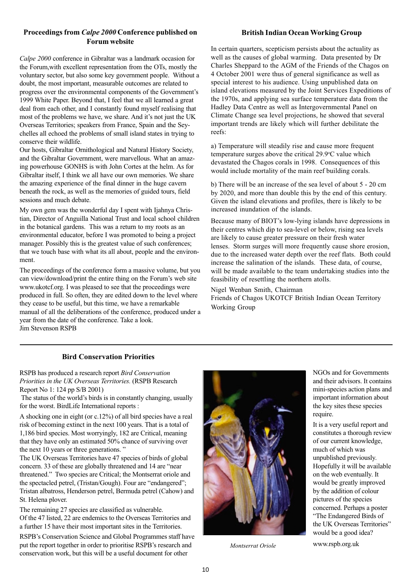## **Proceedings from** *Calpe 2000* **Conference published on Forum website**

*Calpe 2000* conference in Gibraltar was a landmark occasion for the Forum,with excellent representation from the OTs, mostly the voluntary sector, but also some key government people. Without a doubt, the most important, measurable outcomes are related to progress over the environmental components of the Government's 1999 White Paper. Beyond that, I feel that we all learned a great deal from each other, and I constantly found myself realising that most of the problems we have, we share. And it's not just the UK Overseas Territories; speakers from France, Spain and the Seychelles all echoed the problems of small island states in trying to conserve their wildlife.

Our hosts, Gibraltar Ornithological and Natural History Society, and the Gibraltar Government, were marvellous. What an amazing powerhouse GONHS is with John Cortes at the helm. As for Gibraltar itself, I think we all have our own memories. We share the amazing experience of the final dinner in the huge cavern beneath the rock, as well as the memories of guided tours, field sessions and much debate.

My own gem was the wonderful day I spent with Ijahnya Christian, Director of Anguilla National Trust and local school children in the botanical gardens. This was a return to my roots as an environmental educator, before I was promoted to being a project manager. Possibly this is the greatest value of such conferences; that we touch base with what its all about, people and the environment.

The proceedings of the conference form a massive volume, but you can view/download/print the entire thing on the Forum's web site www.ukotcf.org. I was pleased to see that the proceedings were produced in full. So often, they are edited down to the level where they cease to be useful, but this time, we have a remarkable manual of all the deliberations of the conference, produced under a year from the date of the conference. Take a look. Jim Stevenson RSPB

## **British Indian Ocean Working Group**

In certain quarters, scepticism persists about the actuality as well as the causes of global warming. Data presented by Dr Charles Sheppard to the AGM of the Friends of the Chagos on 4 October 2001 were thus of general significance as well as special interest to his audience. Using unpublished data on island elevations measured by the Joint Services Expeditions of the 1970s, and applying sea surface temperature data from the Hadley Data Centre as well as Intergovernmental Panel on Climate Change sea level projections, he showed that several important trends are likely which will further debilitate the reefs:

a) Temperature will steadily rise and cause more frequent temperature surges above the critical 29.9°C value which devastated the Chagos corals in 1998. Consequences of this would include mortality of the main reef building corals.

b) There will be an increase of the sea level of about 5 - 20 cm by 2020, and more than double this by the end of this century. Given the island elevations and profiles, there is likely to be increased inundation of the islands.

Because many of BIOT's low-lying islands have depressions in their centres which dip to sea-level or below, rising sea levels are likely to cause greater pressure on their fresh water lenses. Storm surges will more frequently cause shore erosion, due to the increased water depth over the reef flats. Both could increase the salination of the islands. These data, of course, will be made available to the team undertaking studies into the feasibility of resettling the northern atolls.

Nigel Wenban Smith, Chairman Friends of Chagos UKOTCF British Indian Ocean Territory Working Group

## **Bird Conservation Priorities**

RSPB has produced a research report *Bird Conservation Priorities in the UK Overseas Territories.* (RSPB Research Report No 1: 124 pp S/B 2001)

 The status of the world's birds is in constantly changing, usually for the worst. BirdLife International reports :

A shocking one in eight (or c.12%) of all bird species have a real risk of becoming extinct in the next 100 years. That is a total of 1,186 bird species. Most worryingly, 182 are Critical, meaning that they have only an estimated 50% chance of surviving over the next 10 years or three generations. "

The UK Overseas Territories have 47 species of birds of global concern. 33 of these are globally threatened and 14 are "near threatened." Two species are Critical; the Montserrat oriole and the spectacled petrel, (Tristan/Gough). Four are "endangered"; Tristan albatross, Henderson petrel, Bermuda petrel (Cahow) and St. Helena plover.

The remaining 27 species are classified as vulnerable. Of the 47 listed, 22 are endemics to the Overseas Territories and a further 15 have their most important sites in the Territories.

RSPB's Conservation Science and Global Programmes staff have put the report together in order to prioritise RSPB's research and conservation work, but this will be a useful document for other



NGOs and for Governments and their advisors. It contains mini-species action plans and important information about the key sites these species require.

It is a very useful report and constitutes a thorough review of our current knowledge, much of which was unpublished previously. Hopefully it will be available on the web eventually. It would be greatly improved by the addition of colour pictures of the species concerned. Perhaps a poster "The Endangered Birds of the UK Overseas Territories" would be a good idea?

*Montserrat Oriole* www.rspb.org.uk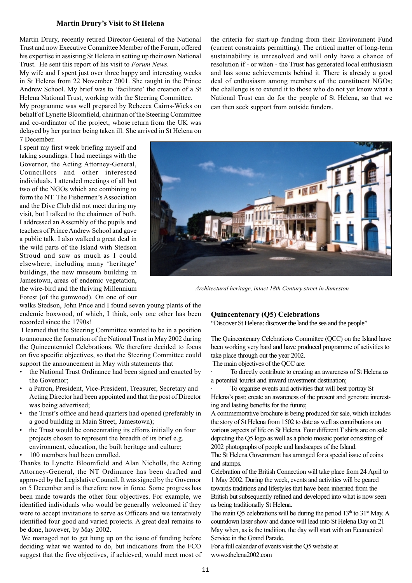#### **Martin Drury's Visit to St Helena**

Martin Drury, recently retired Director-General of the National Trust and now Executive Committee Member of the Forum, offered his expertise in assisting St Helena in setting up their own National Trust. He sent this report of his visit to *Forum News.*

My wife and I spent just over three happy and interesting weeks in St Helena from 22 November 2001. She taught in the Prince Andrew School. My brief was to 'facilitate' the creation of a St Helena National Trust, working with the Steering Committee.

My programme was well prepared by Rebecca Cairns-Wicks on behalf of Lynette Bloomfield, chairman of the Steering Committee and co-ordinator of the project, whose return from the UK was delayed by her partner being taken ill. She arrived in St Helena on 7 December.

I spent my first week briefing myself and taking soundings. I had meetings with the Governor, the Acting Attorney-General, Councillors and other interested individuals. I attended meetings of all but two of the NGOs which are combining to form the NT. The Fishermen's Association and the Dive Club did not meet during my visit, but I talked to the chairmen of both. I addressed an Assembly of the pupils and teachers of Prince Andrew School and gave a public talk. I also walked a great deal in the wild parts of the Island with Stedson Stroud and saw as much as I could elsewhere, including many 'heritage' buildings, the new museum building in Jamestown, areas of endemic vegetation, the wire-bird and the thriving Millennium Forest (of the gumwood). On one of our the criteria for start-up funding from their Environment Fund (current constraints permitting). The critical matter of long-term sustainability is unresolved and will only have a chance of resolution if - or when - the Trust has generated local enthusiasm and has some achievements behind it. There is already a good deal of enthusiasm among members of the constituent NGOs; the challenge is to extend it to those who do not yet know what a National Trust can do for the people of St Helena, so that we can then seek support from outside funders.



*Architectural heritage, intact 18th Century street in Jameston*

walks Stedson, John Price and I found seven young plants of the endemic boxwood, of which, I think, only one other has been recorded since the 1790s!

 I learned that the Steering Committee wanted to be in a position to announce the formation of the National Trust in May 2002 during the Quincentenniel Celebrations. We therefore decided to focus on five specific objectives, so that the Steering Committee could support the announcement in May with statements that

- the National Trust Ordinance had been signed and enacted by the Governor;
- a Patron, President, Vice-President, Treasurer, Secretary and Acting Director had been appointed and that the post of Director was being advertised;
- the Trust's office and head quarters had opened (preferably in a good building in Main Street, Jamestown);
- the Trust would be concentrating its efforts initially on four projects chosen to represent the breadth of its brief e.g. environment, education, the built heritage and culture;
- 100 members had been enrolled.

Thanks to Lynette Bloomfield and Alan Nicholls, the Acting Attorney-General, the NT Ordinance has been drafted and approved by the Legislative Council. It was signed by the Governor on 5 December and is therefore now in force. Some progress has been made towards the other four objectives. For example, we identified individuals who would be generally welcomed if they were to accept invitations to serve as Officers and we tentatively identified four good and varied projects. A great deal remains to be done, however, by May 2002.

 We managed not to get hung up on the issue of funding before deciding what we wanted to do, but indications from the FCO suggest that the five objectives, if achieved, would meet most of

#### **Quincentenary (Q5) Celebrations**

"Discover St Helena: discover the land the sea and the people"

The Quincentenary Celebrations Committee (QCC) on the Island have been working very hard and have produced programme of activities to take place through out the year 2002.

The main objectives of the QCC are:

· To directly contribute to creating an awareness of St Helena as a potential tourist and inward investment destination;

To organise events and activities that will best portray St Helena's past; create an awareness of the present and generate interesting and lasting benefits for the future;

A commemorative brochure is being produced for sale, which includes the story of St Helena from 1502 to date as well as contributions on various aspects of life on St Helena. Four different T shirts are on sale depicting the Q5 logo as well as a photo mosaic poster consisting of 2002 photographs of people and landscapes of the Island.

The St Helena Government has arranged for a special issue of coins and stamps.

Celebration of the British Connection will take place from 24 April to 1 May 2002. During the week, events and activities will be geared towards traditions and lifestyles that have been inherited from the British but subsequently refined and developed into what is now seen as being traditionally St Helena.

The main Q5 celebrations will be during the period  $13<sup>th</sup>$  to  $31<sup>st</sup>$  May. A countdown laser show and dance will lead into St Helena Day on 21 May when, as is the tradition, the day will start with an Ecumenical Service in the Grand Parade.

For a full calendar of events visit the Q5 website at www.sthelena2002.com